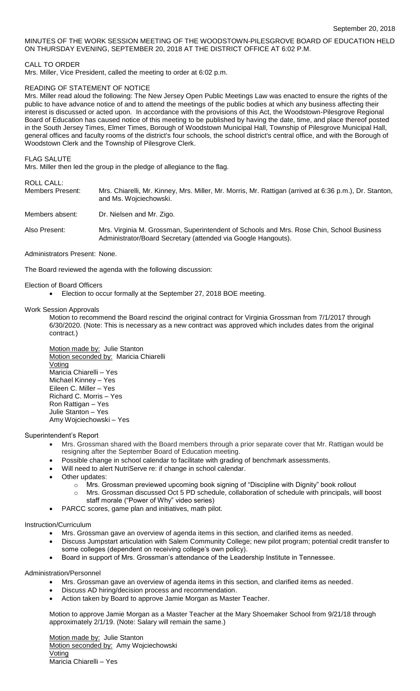MINUTES OF THE WORK SESSION MEETING OF THE WOODSTOWN-PILESGROVE BOARD OF EDUCATION HELD ON THURSDAY EVENING, SEPTEMBER 20, 2018 AT THE DISTRICT OFFICE AT 6:02 P.M.

CALL TO ORDER

Mrs. Miller, Vice President, called the meeting to order at 6:02 p.m.

## READING OF STATEMENT OF NOTICE

Mrs. Miller read aloud the following: The New Jersey Open Public Meetings Law was enacted to ensure the rights of the public to have advance notice of and to attend the meetings of the public bodies at which any business affecting their interest is discussed or acted upon. In accordance with the provisions of this Act, the Woodstown-Pilesgrove Regional Board of Education has caused notice of this meeting to be published by having the date, time, and place thereof posted in the South Jersey Times, Elmer Times, Borough of Woodstown Municipal Hall, Township of Pilesgrove Municipal Hall, general offices and faculty rooms of the district's four schools, the school district's central office, and with the Borough of Woodstown Clerk and the Township of Pilesgrove Clerk.

FLAG SALUTE

Mrs. Miller then led the group in the pledge of allegiance to the flag.

ROLL CALL:

Members Present: Mrs. Chiarelli, Mr. Kinney, Mrs. Miller, Mr. Morris, Mr. Rattigan (arrived at 6:36 p.m.), Dr. Stanton, and Ms. Wojciechowski.

Members absent: Dr. Nielsen and Mr. Zigo.

Also Present: Mrs. Virginia M. Grossman, Superintendent of Schools and Mrs. Rose Chin, School Business Administrator/Board Secretary (attended via Google Hangouts).

Administrators Present: None.

The Board reviewed the agenda with the following discussion:

Election of Board Officers

Election to occur formally at the September 27, 2018 BOE meeting.

Work Session Approvals

Motion to recommend the Board rescind the original contract for Virginia Grossman from 7/1/2017 through 6/30/2020. (Note: This is necessary as a new contract was approved which includes dates from the original contract.)

Motion made by: Julie Stanton Motion seconded by: Maricia Chiarelli Voting Maricia Chiarelli – Yes Michael Kinney – Yes Eileen C. Miller – Yes Richard C. Morris – Yes Ron Rattigan – Yes Julie Stanton – Yes Amy Wojciechowski – Yes

Superintendent's Report

- Mrs. Grossman shared with the Board members through a prior separate cover that Mr. Rattigan would be resigning after the September Board of Education meeting.
- Possible change in school calendar to facilitate with grading of benchmark assessments.
- Will need to alert NutriServe re: if change in school calendar.
- Other updates:
	- o Nrs. Grossman previewed upcoming book signing of "Discipline with Dignity" book rollout
		- o Mrs. Grossman discussed Oct 5 PD schedule, collaboration of schedule with principals, will boost staff morale ("Power of Why" video series)
- PARCC scores, game plan and initiatives, math pilot.

## Instruction/Curriculum

- Mrs. Grossman gave an overview of agenda items in this section, and clarified items as needed.
- Discuss Jumpstart articulation with Salem Community College; new pilot program; potential credit transfer to some colleges (dependent on receiving college's own policy).
- Board in support of Mrs. Grossman's attendance of the Leadership Institute in Tennessee.

Administration/Personnel

- Mrs. Grossman gave an overview of agenda items in this section, and clarified items as needed.
- Discuss AD hiring/decision process and recommendation.
- Action taken by Board to approve Jamie Morgan as Master Teacher.

Motion to approve Jamie Morgan as a Master Teacher at the Mary Shoemaker School from 9/21/18 through approximately 2/1/19. (Note: Salary will remain the same.)

Motion made by: Julie Stanton Motion seconded by: Amy Wojciechowski Voting Maricia Chiarelli – Yes